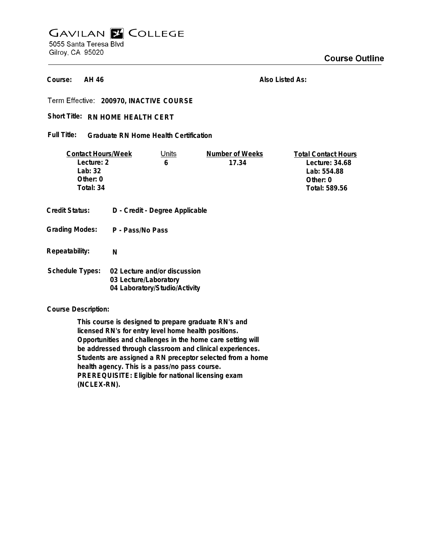# **GAVILAN E COLLEGE** 5055 Santa Teresa Blvd Gilroy, CA 95020

**Course Outline** 

**AH 46 Course:**

**Also Listed As:**

**200970, INACTIVE COURSE**

### Short Title: RN HOME HEALTH CERT

**Graduate RN Home Health Certification Full Title:**

| <b>Contact Hours/Week</b> | Units                          | Number of Weeks | <b>Total Contact Hours</b> |
|---------------------------|--------------------------------|-----------------|----------------------------|
| Lecture: 2                | 6                              | 17.34           | Lecture: 34.68             |
| Lab: 32                   |                                |                 | Lab: 554.88                |
| Other: 0                  |                                |                 | Other: 0                   |
| Total: 34                 |                                |                 | Total: 589.56              |
|                           |                                |                 |                            |
| <b>Credit Status:</b>     | D - Credit - Degree Applicable |                 |                            |
| <b>Grading Modes:</b>     | P - Pass/No Pass               |                 |                            |
| Repeatability:            | N                              |                 |                            |
|                           |                                |                 |                            |
| <b>Schedule Types:</b>    | 02 Lecture and/or discussion   |                 |                            |
|                           | 03 Lecture/Laboratory          |                 |                            |
|                           | 04 Laboratory/Studio/Activity  |                 |                            |

**Course Description:**

**This course is designed to prepare graduate RN's and licensed RN's for entry level home health positions. Opportunities and challenges in the home care setting will be addressed through classroom and clinical experiences. Students are assigned a RN preceptor selected from a home health agency. This is a pass/no pass course. PREREQUISITE: Eligible for national licensing exam (NCLEX-RN).**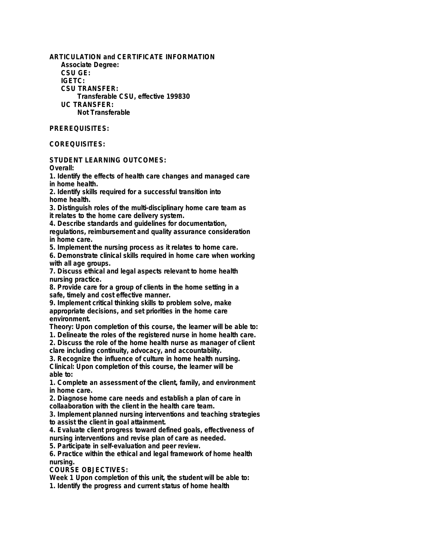**ARTICULATION and CERTIFICATE INFORMATION Associate Degree: CSU GE: IGETC: CSU TRANSFER: Transferable CSU, effective 199830 UC TRANSFER: Not Transferable**

## **PREREQUISITES:**

### **COREQUISITES:**

**STUDENT LEARNING OUTCOMES:**

**Overall:**

**1. Identify the effects of health care changes and managed care in home health.**

**2. Identify skills required for a successful transition into home health.**

**3. Distinguish roles of the multi-disciplinary home care team as it relates to the home care delivery system.**

**4. Describe standards and guidelines for documentation,**

**regulations, reimbursement and quality assurance consideration in home care.**

**5. Implement the nursing process as it relates to home care.**

**6. Demonstrate clinical skills required in home care when working with all age groups.**

**7. Discuss ethical and legal aspects relevant to home health nursing practice.**

**8. Provide care for a group of clients in the home setting in a safe, timely and cost effective manner.**

**9. Implement critical thinking skills to problem solve, make appropriate decisions, and set priorities in the home care environment.**

**Theory: Upon completion of this course, the learner will be able to: 1. Delineate the roles of the registered nurse in home health care.**

**2. Discuss the role of the home health nurse as manager of client clare including continuity, advocacy, and accountabiity.**

**3. Recognize the influence of culture in home health nursing. Clinical: Upon completion of this course, the learner will be able to:**

**1. Complete an assessment of the client, family, and environment in home care.**

**2. Diagnose home care needs and establish a plan of care in collaaboration with the client in the health care team.**

**3. Implement planned nursing interventions and teaching strategies to assist the client in goal attainment.**

**4. Evaluate client progress toward defined goals, effectiveness of nursing interventions and revise plan of care as needed.**

**5. Participate in self-evaluation and peer review.**

**6. Practice within the ethical and legal framework of home health nursing.**

**COURSE OBJECTIVES:**

**Week 1 Upon completion of this unit, the student will be able to: 1. Identify the progress and current status of home health**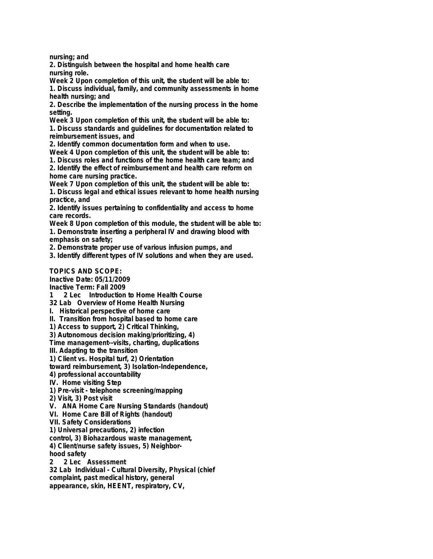**nursing; and**

**2. Distinguish between the hospital and home health care nursing role.**

**Week 2 Upon completion of this unit, the student will be able to: 1. Discuss individual, family, and community assessments in home health nursing; and**

**2. Describe the implementation of the nursing process in the home setting.**

**Week 3 Upon completion of this unit, the student will be able to: 1. Discuss standards and guidelines for documentation related to reimbursement issues, and**

**2. Identify common documentation form and when to use.**

**Week 4 Upon completion of this unit, the student will be able to:**

**1. Discuss roles and functions of the home health care team; and 2. Identify the effect of reimbursement and health care reform on home care nursing practice.**

**Week 7 Upon completion of this unit, the student will be able to: 1. Discuss legal and ethical issues relevant to home health nursing practice, and**

**2. Identify issues pertaining to confidentiality and access to home care records.**

**Week 8 Upon completion of this module, the student will be able to: 1. Demonstrate inserting a peripheral IV and drawing blood with emphasis on safety;**

**2. Demonstrate proper use of various infusion pumps, and**

**3. Identify different types of IV solutions and when they are used.**

#### **TOPICS AND SCOPE:**

**Inactive Date: 05/11/2009**

**Inactive Term: Fall 2009**

**1 2 Lec Introduction to Home Health Course**

**32 Lab Overview of Home Health Nursing**

**I. Historical perspective of home care**

**II. Transition from hospital based to home care**

**1) Access to support, 2) Critical Thinking,**

**3) Autonomous decision making/prioritizing, 4)**

**Time management--visits, charting, duplications**

**III. Adapting to the transition**

**1) Client vs. Hospital turf, 2) Orientation**

**toward reimbursement, 3) Isolation-Independence,**

**4) professional accountability**

**IV. Home visiting Step**

**1) Pre-visit - telephone screening/mapping**

**2) Visit, 3) Post visit**

**V. ANA Home Care Nursing Standards (handout)**

**VI. Home Care Bill of Rights (handout)**

**VII. Safety Considerations**

**1) Universal precautions, 2) infection**

**control, 3) Biohazardous waste management,**

**4) Client/nurse safety issues, 5) Neighborhood safety**

**2 2 Lec Assessment**

**32 Lab Individual - Cultural Diversity, Physical (chief complaint, past medical history, general appearance, skin, HEENT, respiratory, CV,**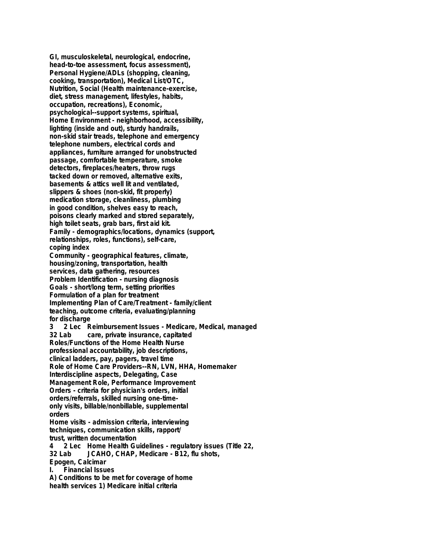**GI, musculoskeletal, neurological, endocrine, head-to-toe assessment, focus assessment), Personal Hygiene/ADLs (shopping, cleaning, cooking, transportation), Medical List/OTC, Nutrition, Social (Health maintenance-exercise, diet, stress management, lifestyles, habits, occupation, recreations), Economic, psychological--support systems, spiritual, Home Environment - neighborhood, accessibility, lighting (inside and out), sturdy handrails, non-skid stair treads, telephone and emergency telephone numbers, electrical cords and appliances, furniture arranged for unobstructed passage, comfortable temperature, smoke detectors, fireplaces/heaters, throw rugs tacked down or removed, alternative exits, basements & attics well lit and ventilated, slippers & shoes (non-skid, fit properly) medication storage, cleanliness, plumbing in good condition, shelves easy to reach, poisons clearly marked and stored separately, high toilet seats, grab bars, first aid kit. Family - demographics/locations, dynamics (support, relationships, roles, functions), self-care, coping index Community - geographical features, climate, housing/zoning, transportation, health services, data gathering, resources Problem Identification - nursing diagnosis Goals - short/long term, setting priorities Formulation of a plan for treatment Implementing Plan of Care/Treatment - family/client teaching, outcome criteria, evaluating/planning for discharge 3 2 Lec Reimbursement Issues - Medicare, Medical, managed 32 Lab care, private insurance, capitated Roles/Functions of the Home Health Nurse professional accountability, job descriptions, clinical ladders, pay, pagers, travel time Role of Home Care Providers--RN, LVN, HHA, Homemaker Interdiscipline aspects, Delegating, Case Management Role, Performance Improvement Orders - criteria for physician's orders, initial orders/referrals, skilled nursing one-timeonly visits, billable/nonbillable, supplemental orders Home visits - admission criteria, interviewing techniques, communication skills, rapport/ trust, written documentation 4 2 Lec Home Health Guidelines - regulatory issues (Title 22, 32 Lab JCAHO, CHAP, Medicare - B12, flu shots, Epogen, Calcimar I. Financial Issues A) Conditions to be met for coverage of home health services 1) Medicare initial criteria**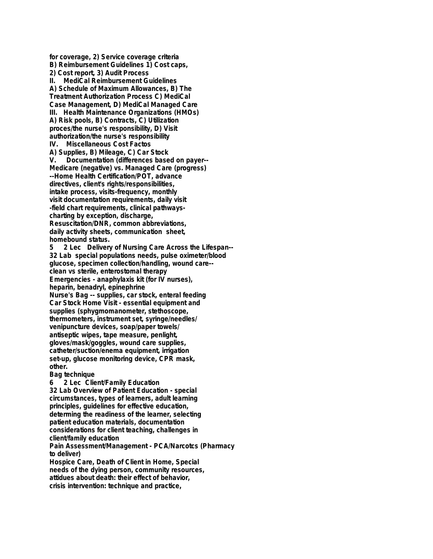**for coverage, 2) Service coverage criteria B) Reimbursement Guidelines 1) Cost caps, 2) Cost report, 3) Audit Process II. MediCal Reimbursement Guidelines A) Schedule of Maximum Allowances, B) The Treatment Authorization Process C) MediCal Case Management, D) MediCal Managed Care III. Health Maintenance Organizations (HMOs) A) Risk pools, B) Contracts, C) Utilization proces/the nurse's responsibility, D) Visit authorization/the nurse's responsibility IV. Miscellaneous Cost Factos A) Supplies, B) Mileage, C) Car Stock V. Documentation (differences based on payer-- Medicare (negative) vs. Managed Care (progress) --Home Health Certification/POT, advance directives, client's rights/responsibilities, intake process, visits-frequency, monthly visit documentation requirements, daily visit -field chart requirements, clinical pathwayscharting by exception, discharge, Resuscitation/DNR, common abbreviations, daily activity sheets, communication sheet, homebound status. 5 2 Lec Delivery of Nursing Care Across the Lifespan-- 32 Lab special populations needs, pulse oximeter/blood glucose, specimen collection/handling, wound care- clean vs sterile, enterostomal therapy Emergencies - anaphylaxis kit (for IV nurses), heparin, benadryl, epinephrine Nurse's Bag -- supplies, car stock, enteral feeding Car Stock Home Visit - essential equipment and supplies (sphygmomanometer, stethoscope, thermometers, instrument set, syringe/needles/ venipuncture devices, soap/paper towels/ antiseptic wipes, tape measure, penlight, gloves/mask/goggles, wound care supplies, catheter/suction/enema equipment, irrigation set-up, glucose monitoring device, CPR mask, other.**

#### **Bag technique**

**6 2 Lec Client/Family Education 32 Lab Overview of Patient Education - special circumstances, types of learners, adult learning principles, guidelines for effective education, determing the readiness of the learner, selecting patient education materials, documentation considerations for client teaching, challenges in client/family education**

**Pain Assessment/Management - PCA/Narcotcs (Pharmacy to deliver)**

**Hospice Care, Death of Client in Home, Special needs of the dying person, community resources, attidues about death: their effect of behavior, crisis intervention: technique and practice,**